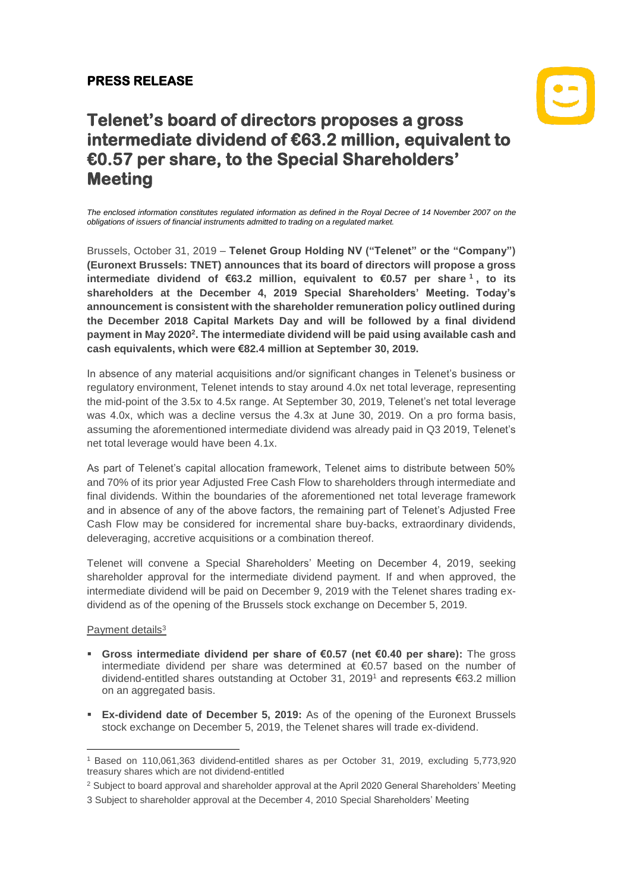## **PRESS RELEASE**

# $|\mathbf{C}|$

## **Telenet's board of directors proposes a gross intermediate dividend of €63.2 million, equivalent to €0.57 per share, to the Special Shareholders' Meeting**

*The enclosed information constitutes regulated information as defined in the Royal Decree of 14 November 2007 on the obligations of issuers of financial instruments admitted to trading on a regulated market.*

Brussels, October 31, 2019 – **Telenet Group Holding NV ("Telenet" or the "Company") (Euronext Brussels: TNET) announces that its board of directors will propose a gross intermediate dividend of €63.2 million, equivalent to €0.57 per share <sup>1</sup> , to its shareholders at the December 4, 2019 Special Shareholders' Meeting. Today's announcement is consistent with the shareholder remuneration policy outlined during the December 2018 Capital Markets Day and will be followed by a final dividend payment in May 2020<sup>2</sup> . The intermediate dividend will be paid using available cash and cash equivalents, which were €82.4 million at September 30, 2019.**

In absence of any material acquisitions and/or significant changes in Telenet's business or regulatory environment, Telenet intends to stay around 4.0x net total leverage, representing the mid-point of the 3.5x to 4.5x range. At September 30, 2019, Telenet's net total leverage was 4.0x, which was a decline versus the 4.3x at June 30, 2019. On a pro forma basis, assuming the aforementioned intermediate dividend was already paid in Q3 2019, Telenet's net total leverage would have been 4.1x.

As part of Telenet's capital allocation framework, Telenet aims to distribute between 50% and 70% of its prior year Adjusted Free Cash Flow to shareholders through intermediate and final dividends. Within the boundaries of the aforementioned net total leverage framework and in absence of any of the above factors, the remaining part of Telenet's Adjusted Free Cash Flow may be considered for incremental share buy-backs, extraordinary dividends, deleveraging, accretive acquisitions or a combination thereof.

Telenet will convene a Special Shareholders' Meeting on December 4, 2019, seeking shareholder approval for the intermediate dividend payment. If and when approved, the intermediate dividend will be paid on December 9, 2019 with the Telenet shares trading exdividend as of the opening of the Brussels stock exchange on December 5, 2019.

### Payment details<sup>3</sup>

- **Gross intermediate dividend per share of €0.57 (net €0.40 per share):** The gross intermediate dividend per share was determined at €0.57 based on the number of dividend-entitled shares outstanding at October 31, 2019<sup>1</sup> and represents €63.2 million on an aggregated basis.
- **Ex-dividend date of December 5, 2019:** As of the opening of the Euronext Brussels stock exchange on December 5, 2019, the Telenet shares will trade ex-dividend.

 $\overline{\phantom{a}}$ <sup>1</sup> Based on 110,061,363 dividend-entitled shares as per October 31, 2019, excluding 5,773,920 treasury shares which are not dividend-entitled

<sup>&</sup>lt;sup>2</sup> Subject to board approval and shareholder approval at the April 2020 General Shareholders' Meeting

<sup>3</sup> Subject to shareholder approval at the December 4, 2010 Special Shareholders' Meeting